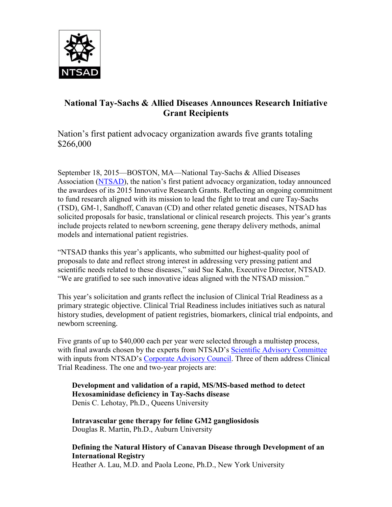

## **National Tay-Sachs & Allied Diseases Announces Research Initiative Grant Recipients**

Nation's first patient advocacy organization awards five grants totaling \$266,000

September 18, 2015—BOSTON, MA—[National Tay-Sachs & Allied Diseases](http://www.ntsad.org/)  [Association](http://www.ntsad.org/) [\(NTSAD](http://www.ntsad.org/)), the nation's first patient advocacy organization, today announced the awardees of its 2015 Innovative Research Grants. Reflecting an ongoing commitment to fund research aligned with its mission to lead the fight to treat and cure Tay-Sachs (TSD), GM-1, Sandhoff, Canavan (CD) and other related genetic diseases, NTSAD has solicited proposals for basic, translational or clinical research projects. This year's grants include projects related to newborn screening, gene therapy delivery methods, animal models and international patient registries.

"NTSAD thanks this year's applicants, who submitted our highest-quality pool of proposals to date and reflect strong interest in addressing very pressing patient and scientific needs related to these diseases," said Sue Kahn, Executive Director, NTSAD. "We are gratified to see such innovative ideas aligned with the NTSAD mission."

This year's solicitation and grants reflect the inclusion of Clinical Trial Readiness as a primary strategic objective. Clinical Trial Readiness includes initiatives such as natural history studies, development of patient registries, biomarkers, clinical trial endpoints, and newborn screening.

Five grants of up to \$40,000 each per year were selected through a multistep process, with final awards chosen by the experts from NTSAD's [Scientific Advisory Committee](http://www.ntsad.org/scientific-advisory-committee) with inputs from NTSAD's [Corporate Advisory Council.](http://www.ntsad.org/corporate-advisory-council) Three of them address Clinical Trial Readiness. The one and two-year projects are:

**Development and validation of a rapid, MS/MS-based method to detect Hexosaminidase deficiency in Tay-Sachs disease** Denis C. Lehotay, Ph.D., Queens University

**Intravascular gene therapy for feline GM2 gangliosidosis** Douglas R. Martin, Ph.D., Auburn University

**Defining the Natural History of Canavan Disease through Development of an International Registry** Heather A. Lau, M.D. and Paola Leone, Ph.D., New York University